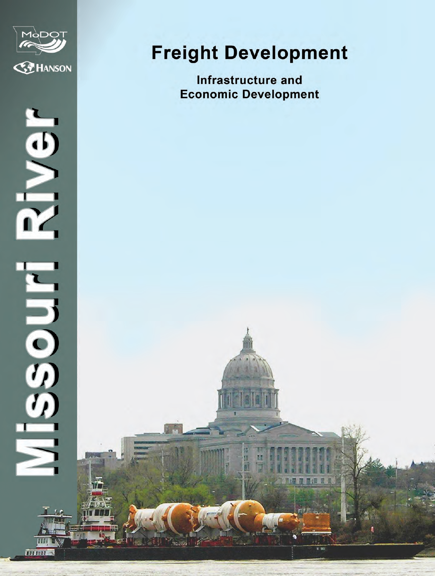



THEFT S

# **Freight Development**

**Infrastructure and Economic Development**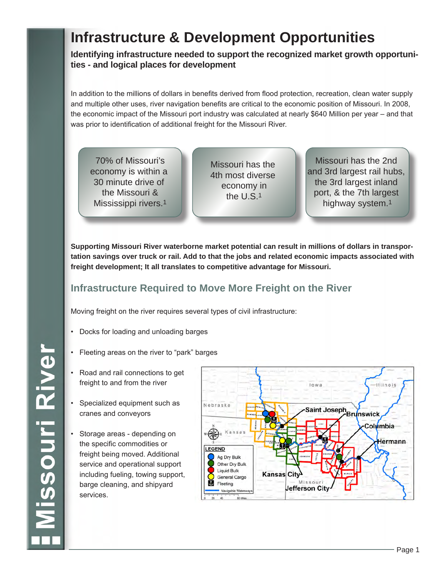## **Infrastructure & Development Opportunities**

**Identifying infrastructure needed to support the recognized market growth opportunities - and logical places for development**

In addition to the millions of dollars in benefits derived from flood protection, recreation, clean water supply and multiple other uses, river navigation benefits are critical to the economic position of Missouri. In 2008, the economic impact of the Missouri port industry was calculated at nearly \$640 Million per year – and that was prior to identification of additional freight for the Missouri River.

70% of Missouri's economy is within a 30 minute drive of the Missouri & Mississippi rivers.1

Missouri has the 4th most diverse economy in the U.S.1

Missouri has the 2nd and 3rd largest rail hubs, the 3rd largest inland port, & the 7th largest highway system.1

**Supporting Missouri River waterborne market potential can result in millions of dollars in transportation savings over truck or rail. Add to that the jobs and related economic impacts associated with freight development; It all translates to competitive advantage for Missouri.**

## **Infrastructure Required to Move More Freight on the River**

Moving freight on the river requires several types of civil infrastructure:

- Docks for loading and unloading barges
- Fleeting areas on the river to "park" barges
- Road and rail connections to get freight to and from the river
- Specialized equipment such as cranes and conveyors
- Storage areas depending on the specific commodities or freight being moved. Additional service and operational support including fueling, towing support, barge cleaning, and shipyard services.



**Missouri River**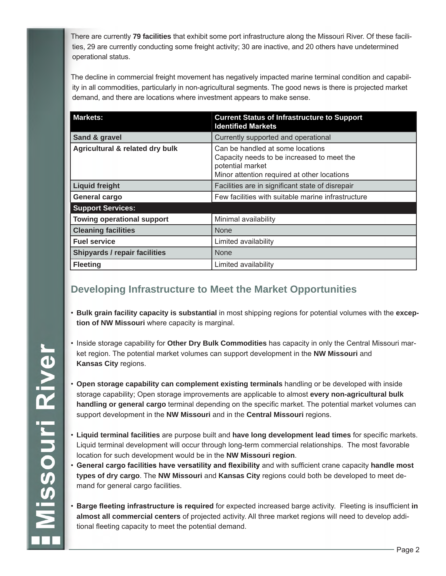There are currently **79 facilities** that exhibit some port infrastructure along the Missouri River. Of these facilities, 29 are currently conducting some freight activity; 30 are inactive, and 20 others have undetermined operational status.

The decline in commercial freight movement has negatively impacted marine terminal condition and capability in all commodities, particularly in non-agricultural segments. The good news is there is projected market demand, and there are locations where investment appears to make sense.

| <b>Markets:</b>                      | <b>Current Status of Infrastructure to Support</b><br><b>Identified Markets</b>                                                                   |  |
|--------------------------------------|---------------------------------------------------------------------------------------------------------------------------------------------------|--|
| Sand & gravel                        | Currently supported and operational                                                                                                               |  |
| Agricultural & related dry bulk      | Can be handled at some locations<br>Capacity needs to be increased to meet the<br>potential market<br>Minor attention required at other locations |  |
| <b>Liquid freight</b>                | Facilities are in significant state of disrepair                                                                                                  |  |
| General cargo                        | Few facilities with suitable marine infrastructure                                                                                                |  |
| <b>Support Services:</b>             |                                                                                                                                                   |  |
| <b>Towing operational support</b>    | Minimal availability                                                                                                                              |  |
| <b>Cleaning facilities</b>           | <b>None</b>                                                                                                                                       |  |
| <b>Fuel service</b>                  | Limited availability                                                                                                                              |  |
| <b>Shipyards / repair facilities</b> | <b>None</b>                                                                                                                                       |  |
| <b>Fleeting</b>                      | Limited availability                                                                                                                              |  |

## **Developing Infrastructure to Meet the Market Opportunities**

- **Bulk grain facility capacity is substantial** in most shipping regions for potential volumes with the **exception of NW Missouri** where capacity is marginal.
- Inside storage capability for **Other Dry Bulk Commodities** has capacity in only the Central Missouri market region. The potential market volumes can support development in the **NW Missouri** and **Kansas City** regions.
- **Open storage capability can complement existing terminals** handling or be developed with inside storage capability; Open storage improvements are applicable to almost **every non-agricultural bulk handling or general cargo** terminal depending on the specific market. The potential market volumes can support development in the **NW Missouri** and in the **Central Missouri** regions.
- **Liquid terminal facilities** are purpose built and **have long development lead times** for specific markets. Liquid terminal development will occur through long-term commercial relationships. The most favorable location for such development would be in the **NW Missouri region**.
- **General cargo facilities have versatility and flexibility** and with sufficient crane capacity **handle most types of dry cargo**. The **NW Missouri** and **Kansas City** regions could both be developed to meet demand for general cargo facilities.
- **Barge fleeting infrastructure is required** for expected increased barge activity. Fleeting is insufficient **in almost all commercial centers** of projected activity. All three market regions will need to develop additional fleeting capacity to meet the potential demand.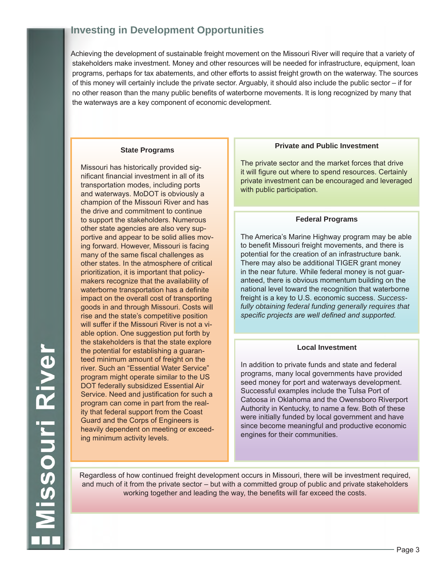## **Investing in Development Opportunities**

Achieving the development of sustainable freight movement on the Missouri River will require that a variety of stakeholders make investment. Money and other resources will be needed for infrastructure, equipment, loan programs, perhaps for tax abatements, and other efforts to assist freight growth on the waterway. The sources of this money will certainly include the private sector. Arguably, it should also include the public sector – if for no other reason than the many public benefits of waterborne movements. It is long recognized by many that the waterways are a key component of economic development.

#### **State Programs**

Missouri has historically provided significant financial investment in all of its transportation modes, including ports and waterways. MoDOT is obviously a champion of the Missouri River and has the drive and commitment to continue to support the stakeholders. Numerous other state agencies are also very supportive and appear to be solid allies moving forward. However, Missouri is facing many of the same fiscal challenges as other states. In the atmosphere of critical prioritization, it is important that policymakers recognize that the availability of waterborne transportation has a definite impact on the overall cost of transporting goods in and through Missouri. Costs will rise and the state's competitive position will suffer if the Missouri River is not a viable option. One suggestion put forth by the stakeholders is that the state explore the potential for establishing a guaranteed minimum amount of freight on the river. Such an "Essential Water Service" program might operate similar to the US DOT federally subsidized Essential Air Service. Need and justification for such a program can come in part from the reality that federal support from the Coast Guard and the Corps of Engineers is heavily dependent on meeting or exceeding minimum activity levels.

#### **Private and Public Investment**

The private sector and the market forces that drive it will figure out where to spend resources. Certainly private investment can be encouraged and leveraged with public participation.

#### **Federal Programs**

The America's Marine Highway program may be able to benefit Missouri freight movements, and there is potential for the creation of an infrastructure bank. There may also be additional TIGER grant money in the near future. While federal money is not guaranteed, there is obvious momentum building on the national level toward the recognition that waterborne freight is a key to U.S. economic success. *Successfully obtaining federal funding generally requires that specific projects are well defined and supported.*

#### **Local Investment**

In addition to private funds and state and federal programs, many local governments have provided seed money for port and waterways development. Successful examples include the Tulsa Port of Catoosa in Oklahoma and the Owensboro Riverport Authority in Kentucky, to name a few. Both of these were initially funded by local government and have since become meaningful and productive economic engines for their communities.

Regardless of how continued freight development occurs in Missouri, there will be investment required, and much of it from the private sector – but with a committed group of public and private stakeholders working together and leading the way, the benefits will far exceed the costs.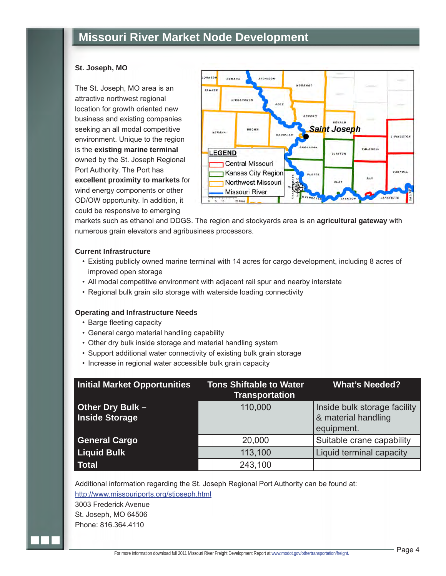#### **St. Joseph, MO**

The St. Joseph, MO area is an attractive northwest regional location for growth oriented new business and existing companies seeking an all modal competitive environment. Unique to the region is the **existing marine terminal** owned by the St. Joseph Regional Port Authority. The Port has **excellent proximity to markets** for wind energy components or other OD/OW opportunity. In addition, it could be responsive to emerging



markets such as ethanol and DDGS. The region and stockyards area is an **agricultural gateway** with numerous grain elevators and agribusiness processors.

#### **Current Infrastructure**

- Existing publicly owned marine terminal with 14 acres for cargo development, including 8 acres of improved open storage
- All modal competitive environment with adjacent rail spur and nearby interstate
- Regional bulk grain silo storage with waterside loading connectivity

#### **Operating and Infrastructure Needs**

- Barge fleeting capacity
- General cargo material handling capability
- Other dry bulk inside storage and material handling system
- Support additional water connectivity of existing bulk grain storage
- Increase in regional water accessible bulk grain capacity

| <b>Initial Market Opportunities</b>             | <b>Tons Shiftable to Water</b><br><b>Transportation</b> | <b>What's Needed?</b>                                             |
|-------------------------------------------------|---------------------------------------------------------|-------------------------------------------------------------------|
| <b>Other Dry Bulk-</b><br><b>Inside Storage</b> | 110,000                                                 | Inside bulk storage facility<br>& material handling<br>equipment. |
| <b>General Cargo</b>                            | 20,000                                                  | Suitable crane capability                                         |
| <b>Liquid Bulk</b>                              | 113,100                                                 | Liquid terminal capacity                                          |
| Total                                           | 243,100                                                 |                                                                   |

Additional information regarding the St. Joseph Regional Port Authority can be found at: http://www.missouriports.org/stjoseph.html

3003 Frederick Avenue St. Joseph, MO 64506 Phone: 816.364.4110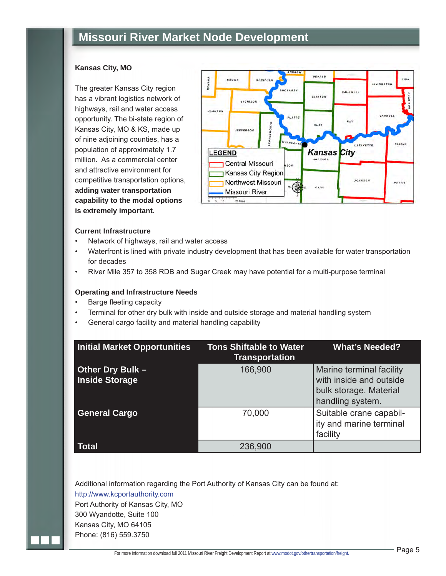#### **Kansas City, MO**

The greater Kansas City region has a vibrant logistics network of highways, rail and water access opportunity. The bi-state region of Kansas City, MO & KS, made up of nine adjoining counties, has a population of approximately 1.7 million. As a commercial center and attractive environment for competitive transportation options, **adding water transportation capability to the modal options is extremely important.**



#### **Current Infrastructure**

- Network of highways, rail and water access
- Waterfront is lined with private industry development that has been available for water transportation for decades
- River Mile 357 to 358 RDB and Sugar Creek may have potential for a multi-purpose terminal

#### **Operating and Infrastructure Needs**

- Barge fleeting capacity
- Terminal for other dry bulk with inside and outside storage and material handling system
- General cargo facility and material handling capability

| <b>Initial Market Opportunities</b>       | <b>Tons Shiftable to Water</b><br><b>Transportation</b> | <b>What's Needed?</b>                                                                             |
|-------------------------------------------|---------------------------------------------------------|---------------------------------------------------------------------------------------------------|
| Other Dry Bulk -<br><b>Inside Storage</b> | 166,900                                                 | Marine terminal facility<br>with inside and outside<br>bulk storage. Material<br>handling system. |
| <b>General Cargo</b>                      | 70,000                                                  | Suitable crane capabil-<br>ity and marine terminal<br>facility                                    |
| Total                                     | 236,900                                                 |                                                                                                   |

Additional information regarding the Port Authority of Kansas City can be found at:

http://www.kcportauthority.com Port Authority of Kansas City, MO

300 Wyandotte, Suite 100

Kansas City, MO 64105

Phone: (816) 559.3750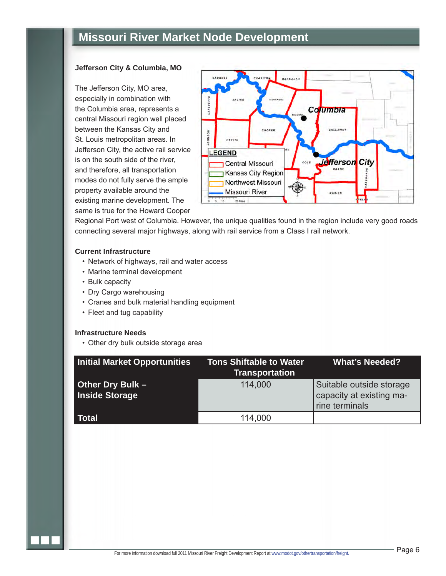#### **Jefferson City & Columbia, MO**

The Jefferson City, MO area, especially in combination with the Columbia area, represents a central Missouri region well placed between the Kansas City and St. Louis metropolitan areas. In Jefferson City, the active rail service is on the south side of the river, and therefore, all transportation modes do not fully serve the ample property available around the existing marine development. The same is true for the Howard Cooper



Regional Port west of Columbia. However, the unique qualities found in the region include very good roads connecting several major highways, along with rail service from a Class I rail network.

#### **Current Infrastructure**

- Network of highways, rail and water access
- Marine terminal development
- Bulk capacity
- Dry Cargo warehousing
- Cranes and bulk material handling equipment
- Fleet and tug capability

#### **Infrastructure Needs**

• Other dry bulk outside storage area

| <b>Initial Market Opportunities</b>       | <b>Tons Shiftable to Water</b><br><b>Transportation</b> | <b>What's Needed?</b>                                                  |
|-------------------------------------------|---------------------------------------------------------|------------------------------------------------------------------------|
| Other Dry Bulk -<br><b>Inside Storage</b> | 114,000                                                 | Suitable outside storage<br>capacity at existing ma-<br>rine terminals |
| <b>Total</b>                              | 114,000                                                 |                                                                        |